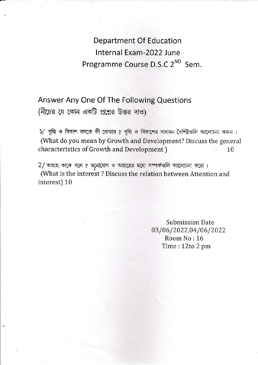**Department Of Education** Internal Exam-2022 June Programme Course D.S.C 2<sup>ND</sup> Sem.

Answer Any One Of The Following Questions (নীচের যে কোন একটি প্রশ্নের উত্তর দাও)

)/ বৃদ্ধি ও বিকাশ বলতে কী বোঝায় ? বৃদ্ধি ও বিকাশের সাধারন বৈশিষ্টগুলি আলোচনা করুন। (What do you mean by Growth and Development? Discuss the general characteristics of Growth and Development) 10

 $2/$  আগ্রহ কাকে বলে ? মনোযোগ ও আগ্রহের মধ্যে সম্পর্কগুলি আলোচনা করো। (What is the interest? Discuss the relation between Attention and interest) 10

> **Submission Date** 03/06/2022,04/06/2022 Room No: 16 Time: 12to 2 pm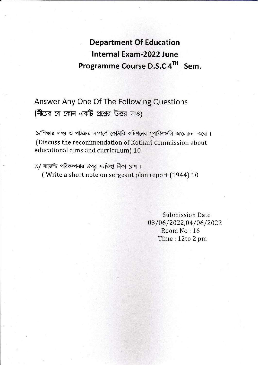## **Department Of Education** Internal Exam-2022 June Programme Course D.S.C 4TH Sem.

Answer Any One Of The Following Questions (নীচের যে কোন একটি প্রশ্নের উত্তর দাও)

১/শিক্ষার লক্ষ্য ও পাঠক্রম সম্পর্কে কোঠারি কমিশনের সুপারিশগুলি আলোচনা করো। (Discuss the recommendation of Kothari commission about educational aims and curriculum) 10

2/ সার্জেন্ট পরিকল্পনার উপর সংক্ষিপ্ত টীকা লেখ। (Write a short note on sergeant plan report (1944) 10

> **Submission Date** 03/06/2022,04/06/2022 Room No: 16 Time: 12to 2 pm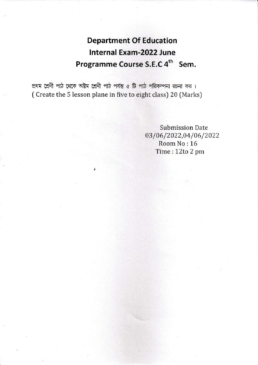## **Department Of Education Internal Exam-2022 June** Programme Course S.E.C 4<sup>th</sup> Sem.

প্রথম শ্রেণী পাঠ থেকে অষ্টম শ্রেণী পাঠ পর্যন্ত ৫ টি পাঠ পরিকল্পনা রচনা কর। (Create the 5 lesson plane in five to eight class) 20 (Marks)

> **Submission Date** 03/06/2022,04/06/2022 Room No: 16 Time: 12to 2 pm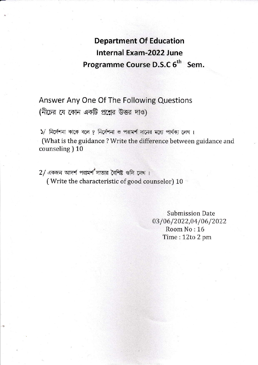## Department Of Education lnternal Exam-2022 June Programme Course D.S.C 6<sup>th</sup> Sem.

Answer Any One Of The Following Questions (নীচের যে কোন একটি প্রশ্নের উত্তর দাও)

 $5/$  নির্দেশনা কাকে বলে ? নির্দেশনা ও পরামর্শ দানের মধ্যে পার্থক্য লেখ।

(What is the guidance ? Write the difference between guidance and counseling ) 10

 $2/$  একজন আদর্শ পরামর্শ দাতার বৈশিষ্ট গুলি লেখ। (Write the characteristic of good counselor) 10

> Submission Date 03/06/2022,04/06/2022 Room No: 16 Time:1Zto2pm